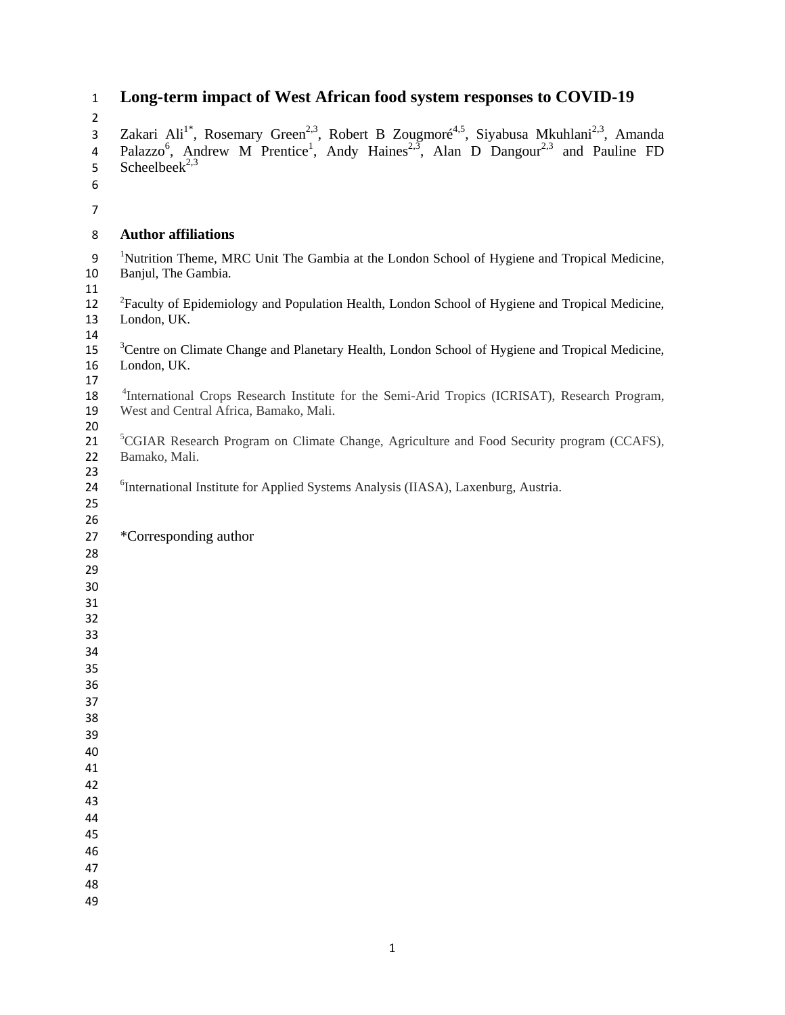# **Long-term impact of West African food system responses to COVID-19**

 3 Zakari Ali<sup>1\*</sup>, Rosemary Green<sup>2,3</sup>, Robert B Zougmoré<sup>4,5</sup>, Siyabusa Mkuhlani<sup>2,3</sup>, Amanda 5 Scheelbeek<sup>2,3</sup> **Author affiliations**  9 <sup>1</sup>Nutrition Theme, MRC Unit The Gambia at the London School of Hygiene and Tropical Medicine, Banjul, The Gambia. London, UK. Bamako, Mali. \*Corresponding author 

 

 

- 
- 

4 Palazzo<sup>6</sup>, Andrew M Prentice<sup>1</sup>, Andy Haines<sup>2,3</sup>, Alan D Dangour<sup>2,3</sup> and Pauline FD

11<br>12 <sup>2</sup>Faculty of Epidemiology and Population Health, London School of Hygiene and Tropical Medicine,<br>13 London, UK.  $\frac{14}{15}$ Centre on Climate Change and Planetary Health, London School of Hygiene and Tropical Medicine, London, UK.

17<br>18<sup>4</sup> <sup>4</sup>International Crops Research Institute for the Semi-Arid Tropics (ICRISAT), Research Program, West and Central Africa, Bamako, Mali.

<sup>5</sup> 21 <sup>5</sup> CGIAR Research Program on Climate Change, Agriculture and Food Security program (CCAFS),

<sup>6</sup>International Institute for Applied Systems Analysis (IIASA), Laxenburg, Austria.

- 
- 
- 
- 
- 
- 
-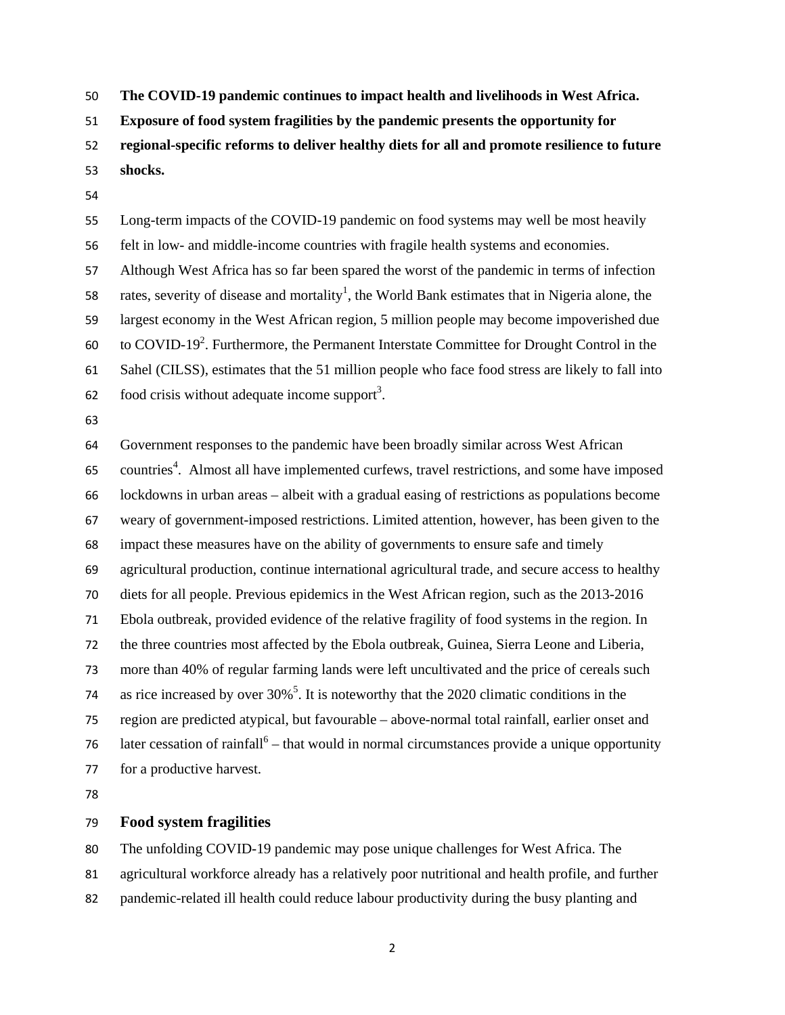**The COVID-19 pandemic continues to impact health and livelihoods in West Africa.** 

**Exposure of food system fragilities by the pandemic presents the opportunity for** 

**regional-specific reforms to deliver healthy diets for all and promote resilience to future** 

**shocks.** 

Long-term impacts of the COVID-19 pandemic on food systems may well be most heavily felt in low- and middle-income countries with fragile health systems and economies. Although West Africa has so far been spared the worst of the pandemic in terms of infection 58 rates, severity of disease and mortality<sup>1</sup>, the World Bank estimates that in Nigeria alone, the largest economy in the West African region, 5 million people may become impoverished due 60 . to COVID-19<sup>2</sup>. Furthermore, the Permanent Interstate Committee for Drought Control in the Sahel (CILSS), estimates that the 51 million people who face food stress are likely to fall into  $\delta$  62 . food crisis without adequate income support<sup>3</sup>.

Government responses to the pandemic have been broadly similar across West African 65 countries<sup>4</sup>. Almost all have implemented curfews, travel restrictions, and some have imposed lockdowns in urban areas – albeit with a gradual easing of restrictions as populations become weary of government-imposed restrictions. Limited attention, however, has been given to the impact these measures have on the ability of governments to ensure safe and timely agricultural production, continue international agricultural trade, and secure access to healthy diets for all people. Previous epidemics in the West African region, such as the 2013-2016 Ebola outbreak, provided evidence of the relative fragility of food systems in the region. In the three countries most affected by the Ebola outbreak, Guinea, Sierra Leone and Liberia, more than 40% of regular farming lands were left uncultivated and the price of cereals such 74 as rice increased by over  $30\%$ <sup>5</sup>. It is noteworthy that the 2020 climatic conditions in the region are predicted atypical, but favourable – above-normal total rainfall, earlier onset and 76 – later cessation of rainfall<sup>6</sup> – that would in normal circumstances provide a unique opportunity for a productive harvest.

## **Food system fragilities**

The unfolding COVID-19 pandemic may pose unique challenges for West Africa. The agricultural workforce already has a relatively poor nutritional and health profile, and further

pandemic-related ill health could reduce labour productivity during the busy planting and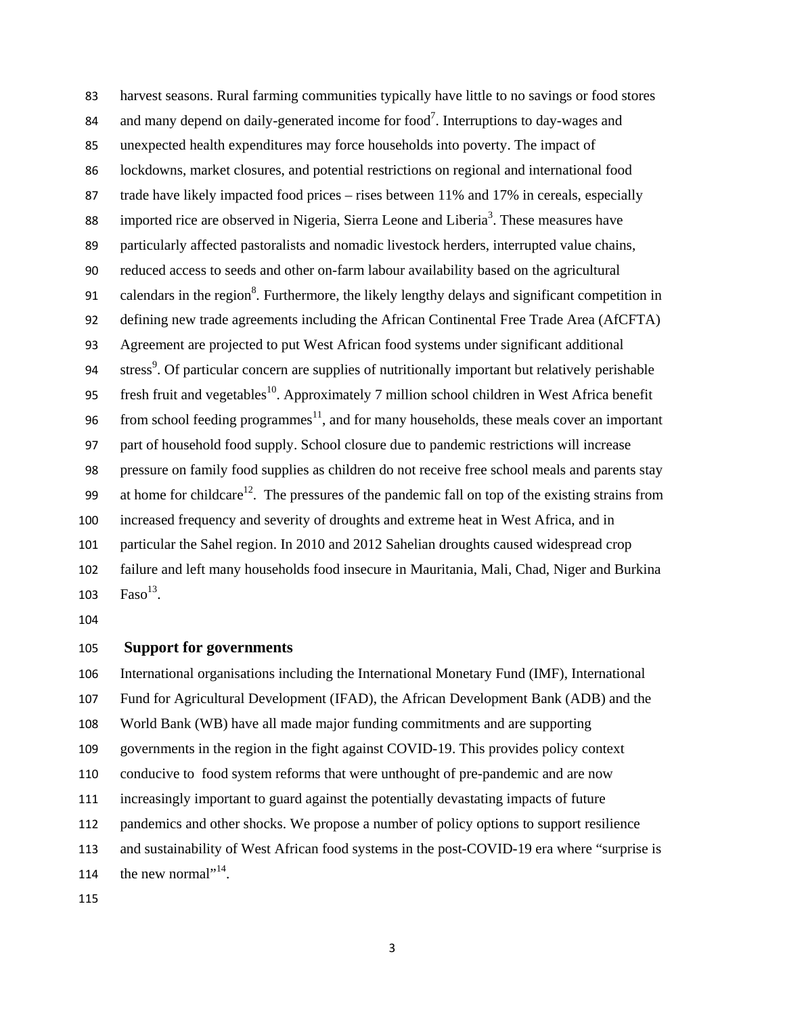harvest seasons. Rural farming communities typically have little to no savings or food stores 84 and many depend on daily-generated income for food<sup>7</sup>. Interruptions to day-wages and unexpected health expenditures may force households into poverty. The impact of lockdowns, market closures, and potential restrictions on regional and international food 87 trade have likely impacted food prices – rises between 11% and 17% in cereals, especially 88 imported rice are observed in Nigeria, Sierra Leone and Liberia<sup>3</sup>. These measures have particularly affected pastoralists and nomadic livestock herders, interrupted value chains, reduced access to seeds and other on-farm labour availability based on the agricultural 91 calendars in the region<sup>8</sup>. Furthermore, the likely lengthy delays and significant competition in defining new trade agreements including the African Continental Free Trade Area (AfCFTA) Agreement are projected to put West African food systems under significant additional 94 stress<sup>9</sup>. Of particular concern are supplies of nutritionally important but relatively perishable 95 fresh fruit and vegetables<sup>10</sup>. Approximately 7 million school children in West Africa benefit 96 from school feeding programmes<sup>11</sup>, and for many households, these meals cover an important part of household food supply. School closure due to pandemic restrictions will increase pressure on family food supplies as children do not receive free school meals and parents stay 99 at home for childcare<sup>12</sup>. The pressures of the pandemic fall on top of the existing strains from increased frequency and severity of droughts and extreme heat in West Africa, and in particular the Sahel region. In 2010 and 2012 Sahelian droughts caused widespread crop failure and left many households food insecure in Mauritania, Mali, Chad, Niger and Burkina  $\text{Faso}^{13}$ .

## **Support for governments**

International organisations including the International Monetary Fund (IMF), International Fund for Agricultural Development (IFAD), the African Development Bank (ADB) and the World Bank (WB) have all made major funding commitments and are supporting governments in the region in the fight against COVID-19. This provides policy context conducive to food system reforms that were unthought of pre-pandemic and are now increasingly important to guard against the potentially devastating impacts of future pandemics and other shocks. We propose a number of policy options to support resilience and sustainability of West African food systems in the post-COVID-19 era where "surprise is 114 the new normal".<sup>14</sup>.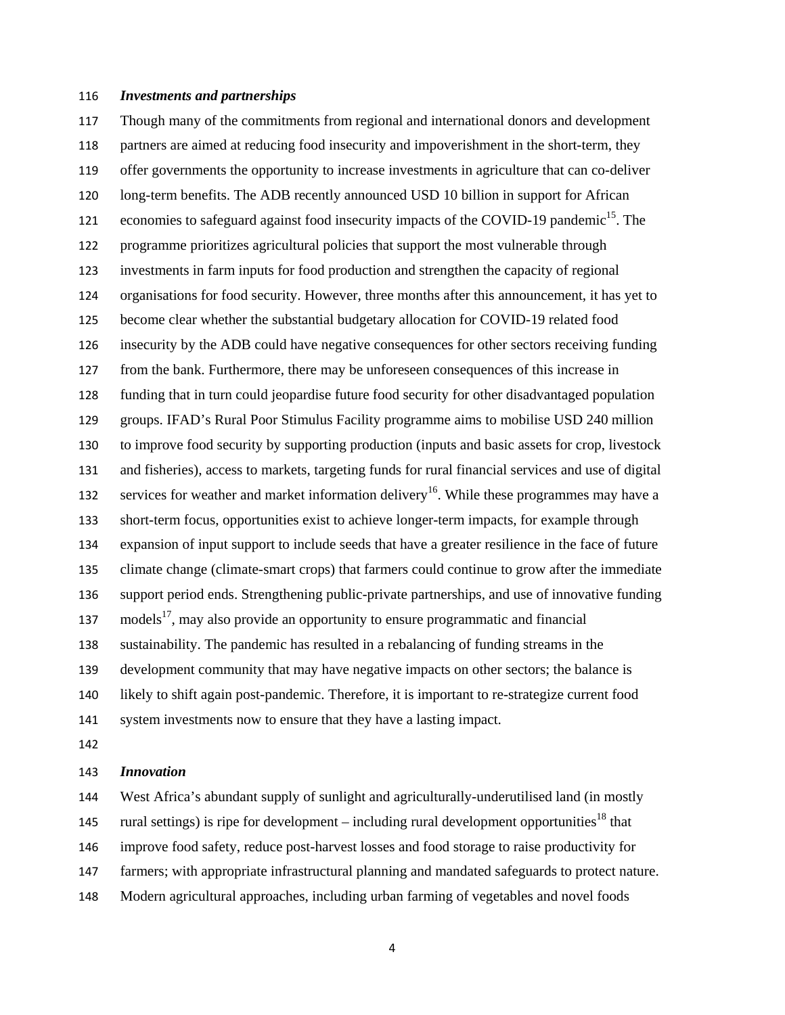#### *Investments and partnerships*

Though many of the commitments from regional and international donors and development partners are aimed at reducing food insecurity and impoverishment in the short-term, they offer governments the opportunity to increase investments in agriculture that can co-deliver long-term benefits. The ADB recently announced USD 10 billion in support for African economies to safeguard against food insecurity impacts of the COVID-19 pandemic<sup>15</sup>. The programme prioritizes agricultural policies that support the most vulnerable through investments in farm inputs for food production and strengthen the capacity of regional organisations for food security. However, three months after this announcement, it has yet to become clear whether the substantial budgetary allocation for COVID-19 related food insecurity by the ADB could have negative consequences for other sectors receiving funding from the bank. Furthermore, there may be unforeseen consequences of this increase in funding that in turn could jeopardise future food security for other disadvantaged population groups. IFAD's Rural Poor Stimulus Facility programme aims to mobilise USD 240 million to improve food security by supporting production (inputs and basic assets for crop, livestock and fisheries), access to markets, targeting funds for rural financial services and use of digital services for weather and market information delivery<sup>16</sup>. While these programmes may have a short-term focus, opportunities exist to achieve longer-term impacts, for example through expansion of input support to include seeds that have a greater resilience in the face of future climate change (climate-smart crops) that farmers could continue to grow after the immediate support period ends. Strengthening public-private partnerships, and use of innovative funding models<sup>17</sup>, may also provide an opportunity to ensure programmatic and financial sustainability. The pandemic has resulted in a rebalancing of funding streams in the development community that may have negative impacts on other sectors; the balance is likely to shift again post-pandemic. Therefore, it is important to re-strategize current food system investments now to ensure that they have a lasting impact.

#### *Innovation*

West Africa's abundant supply of sunlight and agriculturally-underutilised land (in mostly

145 rural settings) is ripe for development – including rural development opportunities<sup>18</sup> that

improve food safety, reduce post-harvest losses and food storage to raise productivity for

farmers; with appropriate infrastructural planning and mandated safeguards to protect nature.

Modern agricultural approaches, including urban farming of vegetables and novel foods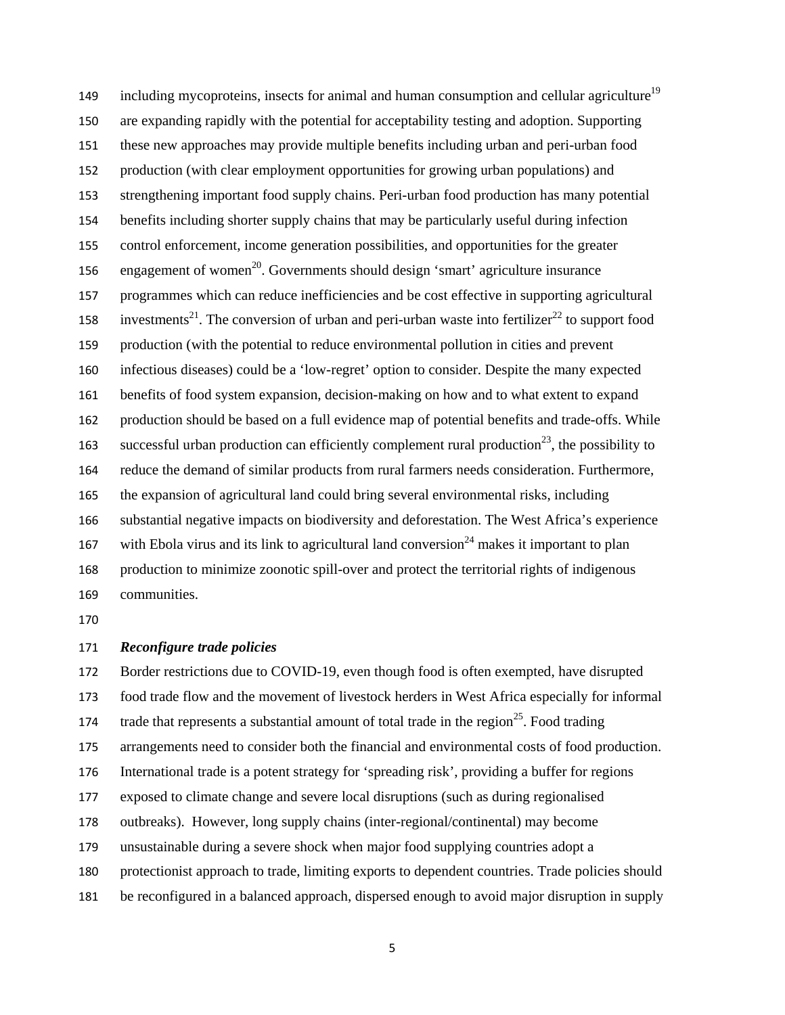including mycoproteins, insects for animal and human consumption and cellular agriculture<sup>19</sup> are expanding rapidly with the potential for acceptability testing and adoption. Supporting these new approaches may provide multiple benefits including urban and peri-urban food production (with clear employment opportunities for growing urban populations) and strengthening important food supply chains. Peri-urban food production has many potential benefits including shorter supply chains that may be particularly useful during infection control enforcement, income generation possibilities, and opportunities for the greater 156 engagement of women<sup>20</sup>. Governments should design 'smart' agriculture insurance programmes which can reduce inefficiencies and be cost effective in supporting agricultural 158 investments<sup>21</sup>. The conversion of urban and peri-urban waste into fertilizer<sup>22</sup> to support food production (with the potential to reduce environmental pollution in cities and prevent infectious diseases) could be a 'low-regret' option to consider. Despite the many expected benefits of food system expansion, decision-making on how and to what extent to expand production should be based on a full evidence map of potential benefits and trade-offs. While 163 successful urban production can efficiently complement rural production<sup>23</sup>, the possibility to reduce the demand of similar products from rural farmers needs consideration. Furthermore, the expansion of agricultural land could bring several environmental risks, including substantial negative impacts on biodiversity and deforestation. The West Africa's experience 167 with Ebola virus and its link to agricultural land conversion<sup>24</sup> makes it important to plan production to minimize zoonotic spill-over and protect the territorial rights of indigenous communities.

#### *Reconfigure trade policies*

Border restrictions due to COVID-19, even though food is often exempted, have disrupted

food trade flow and the movement of livestock herders in West Africa especially for informal

174 trade that represents a substantial amount of total trade in the region<sup>25</sup>. Food trading

arrangements need to consider both the financial and environmental costs of food production.

International trade is a potent strategy for 'spreading risk', providing a buffer for regions

exposed to climate change and severe local disruptions (such as during regionalised

outbreaks). However, long supply chains (inter-regional/continental) may become

unsustainable during a severe shock when major food supplying countries adopt a

protectionist approach to trade, limiting exports to dependent countries. Trade policies should

be reconfigured in a balanced approach, dispersed enough to avoid major disruption in supply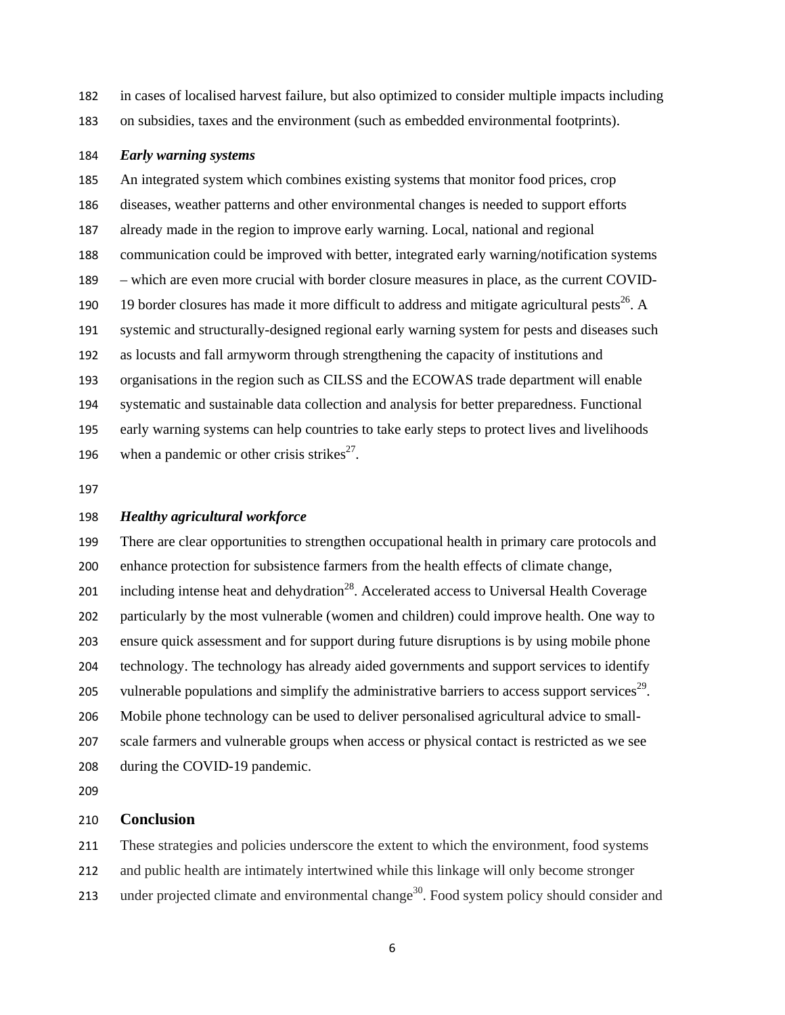- in cases of localised harvest failure, but also optimized to consider multiple impacts including
- on subsidies, taxes and the environment (such as embedded environmental footprints).

## *Early warning systems*

An integrated system which combines existing systems that monitor food prices, crop diseases, weather patterns and other environmental changes is needed to support efforts already made in the region to improve early warning. Local, national and regional communication could be improved with better, integrated early warning/notification systems – which are even more crucial with border closure measures in place, as the current COVID-190 19 border closures has made it more difficult to address and mitigate agricultural pests<sup>26</sup>. A systemic and structurally-designed regional early warning system for pests and diseases such as locusts and fall armyworm through strengthening the capacity of institutions and organisations in the region such as CILSS and the ECOWAS trade department will enable systematic and sustainable data collection and analysis for better preparedness. Functional early warning systems can help countries to take early steps to protect lives and livelihoods 196 when a pandemic or other crisis strikes $2^7$ .

## *Healthy agricultural workforce*

There are clear opportunities to strengthen occupational health in primary care protocols and enhance protection for subsistence farmers from the health effects of climate change, 201 including intense heat and dehydration<sup>28</sup>. Accelerated access to Universal Health Coverage particularly by the most vulnerable (women and children) could improve health. One way to ensure quick assessment and for support during future disruptions is by using mobile phone technology. The technology has already aided governments and support services to identify 205 vulnerable populations and simplify the administrative barriers to access support services<sup>29</sup>. Mobile phone technology can be used to deliver personalised agricultural advice to small-scale farmers and vulnerable groups when access or physical contact is restricted as we see during the COVID-19 pandemic.

### **Conclusion**

These strategies and policies underscore the extent to which the environment, food systems

and public health are intimately intertwined while this linkage will only become stronger

213 under projected climate and environmental change<sup>30</sup>. Food system policy should consider and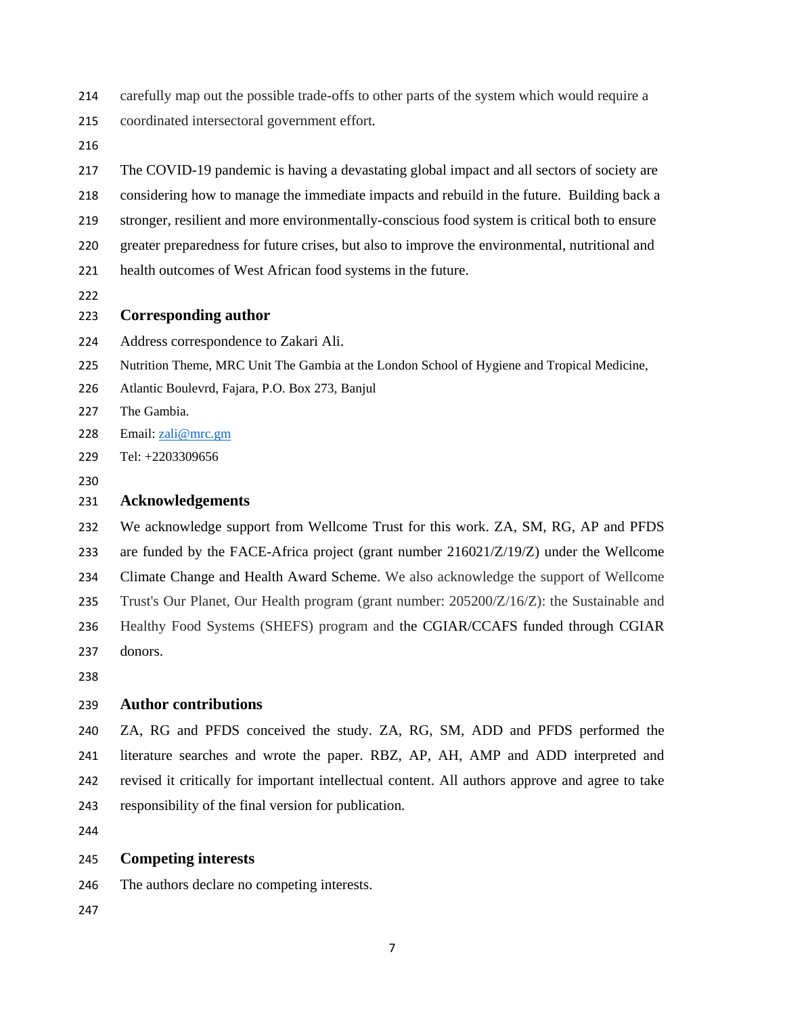- carefully map out the possible trade-offs to other parts of the system which would require a
- coordinated intersectoral government effort.
- 

The COVID-19 pandemic is having a devastating global impact and all sectors of society are considering how to manage the immediate impacts and rebuild in the future. Building back a stronger, resilient and more environmentally-conscious food system is critical both to ensure greater preparedness for future crises, but also to improve the environmental, nutritional and health outcomes of West African food systems in the future.

#### **Corresponding author**

- Address correspondence to Zakari Ali.
- Nutrition Theme, MRC Unit The Gambia at the London School of Hygiene and Tropical Medicine,
- Atlantic Boulevrd, Fajara, P.O. Box 273, Banjul
- The Gambia.
- 228 Email: <u>zali@mrc.gm</u>
- Tel: +2203309656
- 

### **Acknowledgements**

We acknowledge support from Wellcome Trust for this work. ZA, SM, RG, AP and PFDS are funded by the FACE-Africa project (grant number 216021/Z/19/Z) under the Wellcome Climate Change and Health Award Scheme. We also acknowledge the support of Wellcome Trust's Our Planet, Our Health program (grant number: 205200/Z/16/Z): the Sustainable and Healthy Food Systems (SHEFS) program and the CGIAR/CCAFS funded through CGIAR donors.

# **Author contributions**

ZA, RG and PFDS conceived the study. ZA, RG, SM, ADD and PFDS performed the literature searches and wrote the paper. RBZ, AP, AH, AMP and ADD interpreted and revised it critically for important intellectual content. All authors approve and agree to take responsibility of the final version for publication.

#### **Competing interests**

- The authors declare no competing interests.
-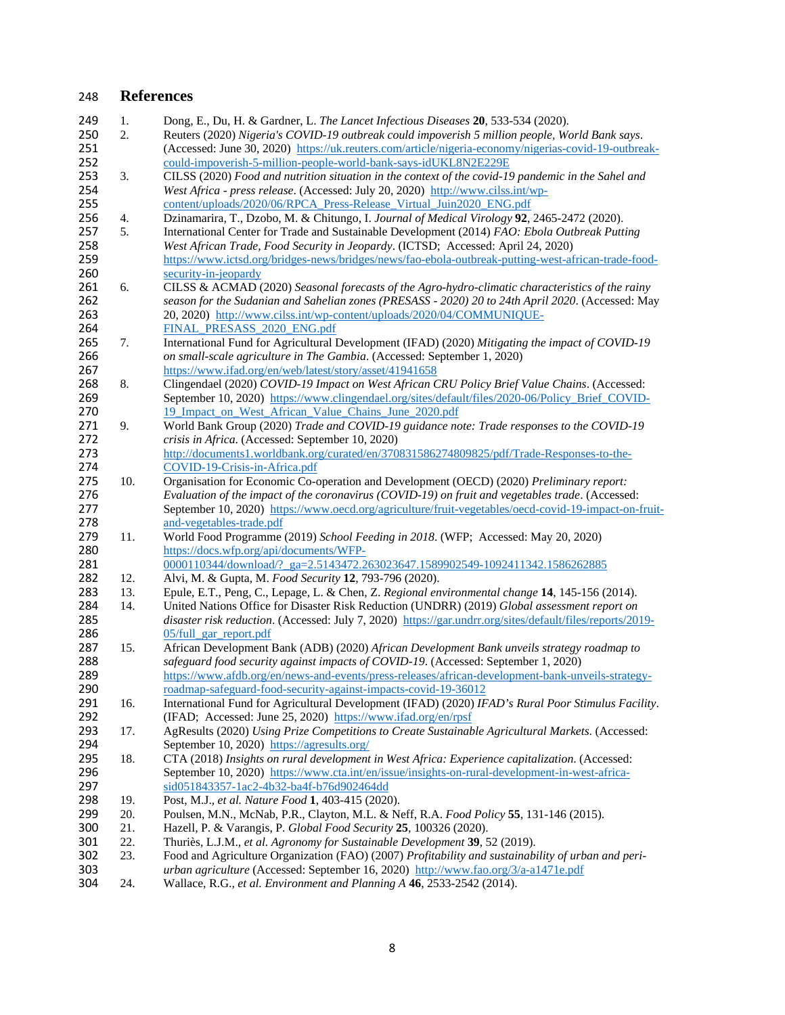# **References**

| 249        | 1.         | Dong, E., Du, H. & Gardner, L. The Lancet Infectious Diseases 20, 533-534 (2020).                                                                            |
|------------|------------|--------------------------------------------------------------------------------------------------------------------------------------------------------------|
| 250        | 2.         | Reuters (2020) Nigeria's COVID-19 outbreak could impoverish 5 million people, World Bank says.                                                               |
| 251        |            | (Accessed: June 30, 2020) https://uk.reuters.com/article/nigeria-economy/nigerias-covid-19-outbreak-                                                         |
| 252        |            | could-impoverish-5-million-people-world-bank-says-idUKL8N2E229E                                                                                              |
| 253        | 3.         | CILSS (2020) Food and nutrition situation in the context of the covid-19 pandemic in the Sahel and                                                           |
| 254        |            | West Africa - press release. (Accessed: July 20, 2020) http://www.cilss.int/wp-                                                                              |
| 255        |            | content/uploads/2020/06/RPCA Press-Release Virtual Juin2020 ENG.pdf                                                                                          |
| 256        | 4.         | Dzinamarira, T., Dzobo, M. & Chitungo, I. Journal of Medical Virology 92, 2465-2472 (2020).                                                                  |
| 257        | 5.         | International Center for Trade and Sustainable Development (2014) FAO: Ebola Outbreak Putting                                                                |
| 258        |            | West African Trade, Food Security in Jeopardy. (ICTSD; Accessed: April 24, 2020)                                                                             |
|            |            |                                                                                                                                                              |
| 259        |            | https://www.ictsd.org/bridges-news/bridges/news/fao-ebola-outbreak-putting-west-african-trade-food-                                                          |
| 260        |            | security-in-jeopardy                                                                                                                                         |
| 261        | 6.         | CILSS & ACMAD (2020) Seasonal forecasts of the Agro-hydro-climatic characteristics of the rainy                                                              |
| 262        |            | season for the Sudanian and Sahelian zones (PRESASS - 2020) 20 to 24th April 2020. (Accessed: May                                                            |
| 263        |            | 20, 2020) http://www.cilss.int/wp-content/uploads/2020/04/COMMUNIQUE-                                                                                        |
| 264        |            | FINAL PRESASS 2020 ENG.pdf                                                                                                                                   |
| 265        | 7.         | International Fund for Agricultural Development (IFAD) (2020) Mitigating the impact of COVID-19                                                              |
| 266        |            | on small-scale agriculture in The Gambia. (Accessed: September 1, 2020)                                                                                      |
| 267        |            | https://www.ifad.org/en/web/latest/story/asset/41941658                                                                                                      |
| 268        | 8.         | Clingendael (2020) COVID-19 Impact on West African CRU Policy Brief Value Chains. (Accessed:                                                                 |
| 269        |            | September 10, 2020) https://www.clingendael.org/sites/default/files/2020-06/Policy Brief COVID-                                                              |
| 270        |            | 19 Impact on West African Value Chains June 2020.pdf                                                                                                         |
| 271        | 9.         | World Bank Group (2020) Trade and COVID-19 guidance note: Trade responses to the COVID-19                                                                    |
| 272        |            | crisis in Africa. (Accessed: September 10, 2020)                                                                                                             |
| 273        |            | http://documents1.worldbank.org/curated/en/370831586274809825/pdf/Trade-Responses-to-the-                                                                    |
| 274        |            | COVID-19-Crisis-in-Africa.pdf                                                                                                                                |
| 275        | 10.        | Organisation for Economic Co-operation and Development (OECD) (2020) Preliminary report:                                                                     |
| 276        |            | Evaluation of the impact of the coronavirus (COVID-19) on fruit and vegetables trade. (Accessed:                                                             |
| 277        |            | September 10, 2020) https://www.oecd.org/agriculture/fruit-vegetables/oecd-covid-19-impact-on-fruit-                                                         |
| 278        |            | and-vegetables-trade.pdf                                                                                                                                     |
| 279        | 11.        | World Food Programme (2019) School Feeding in 2018. (WFP; Accessed: May 20, 2020)                                                                            |
| 280        |            | https://docs.wfp.org/api/documents/WFP-                                                                                                                      |
| 281        |            | 0000110344/download/? ga=2.5143472.263023647.1589902549-1092411342.1586262885                                                                                |
| 282        | 12.        | Alvi, M. & Gupta, M. Food Security 12, 793-796 (2020).                                                                                                       |
| 283        | 13.        | Epule, E.T., Peng, C., Lepage, L. & Chen, Z. Regional environmental change 14, 145-156 (2014).                                                               |
| 284        | 14.        | United Nations Office for Disaster Risk Reduction (UNDRR) (2019) Global assessment report on                                                                 |
| 285        |            | disaster risk reduction. (Accessed: July 7, 2020) https://gar.undrr.org/sites/default/files/reports/2019-                                                    |
| 286        |            | 05/full_gar_report.pdf                                                                                                                                       |
| 287        | 15.        | African Development Bank (ADB) (2020) African Development Bank unveils strategy roadmap to                                                                   |
| 288        |            | safeguard food security against impacts of COVID-19. (Accessed: September 1, 2020)                                                                           |
| 289        |            | https://www.afdb.org/en/news-and-events/press-releases/african-development-bank-unveils-strategy-                                                            |
| 290        |            | roadmap-safeguard-food-security-against-impacts-covid-19-36012                                                                                               |
| 291        | 16.        | International Fund for Agricultural Development (IFAD) (2020) IFAD's Rural Poor Stimulus Facility.                                                           |
| 292        |            | (IFAD; Accessed: June 25, 2020) https://www.ifad.org/en/rpsf                                                                                                 |
| 293        | 17.        | AgResults (2020) Using Prize Competitions to Create Sustainable Agricultural Markets. (Accessed:                                                             |
| 294        |            | September 10, 2020) https://agresults.org/                                                                                                                   |
| 295        | 18.        | CTA (2018) Insights on rural development in West Africa: Experience capitalization. (Accessed:                                                               |
| 296        |            |                                                                                                                                                              |
| 297        |            | September 10, 2020) https://www.cta.int/en/issue/insights-on-rural-development-in-west-africa-<br>sid051843357-1ac2-4b32-ba4f-b76d902464dd                   |
|            |            |                                                                                                                                                              |
| 298        | 19.        | Post, M.J., et al. Nature Food 1, 403-415 (2020).                                                                                                            |
| 299        | 20.<br>21. | Poulsen, M.N., McNab, P.R., Clayton, M.L. & Neff, R.A. Food Policy 55, 131-146 (2015).                                                                       |
| 300        |            | Hazell, P. & Varangis, P. Global Food Security 25, 100326 (2020).                                                                                            |
|            |            |                                                                                                                                                              |
| 301        | 22.        | Thuriès, L.J.M., et al. Agronomy for Sustainable Development 39, 52 (2019).                                                                                  |
| 302        | 23.        | Food and Agriculture Organization (FAO) (2007) Profitability and sustainability of urban and peri-                                                           |
| 303<br>304 | 24.        | urban agriculture (Accessed: September 16, 2020) http://www.fao.org/3/a-a1471e.pdf<br>Wallace, R.G., et al. Environment and Planning A 46, 2533-2542 (2014). |